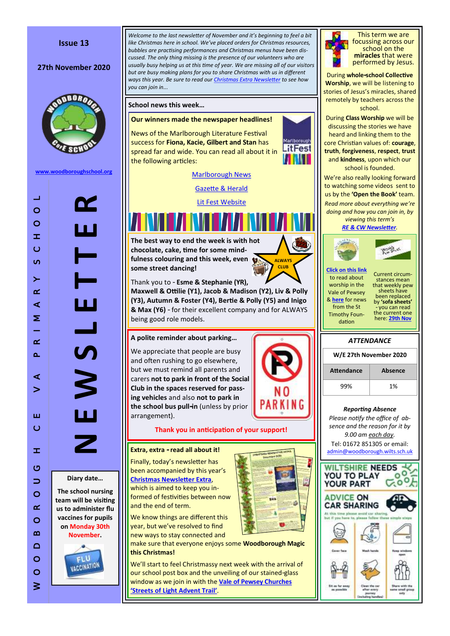

#### **27th November 2020**



**[www.woodboroughschool.org](https://woodboroughschool.org/)**

*Welcome to the last newsletter of November and it 's beginning to feel a bit like Christmas here in school. We 've placed orders for Christmas resources, bubbles are practising performances and Christmas menus have been discussed. The only thing missing is the presence of our volunteers who are usually busy helping us at this time of year. We are missing all of our visitors but are busy making plans for you to share Christmas with us in different ways this year. Be sure to read our [Christmas Extra Newsletter](https://woodboroughschool.org/wp-content/uploads/2020/11/Christmas-Extra-Nov-2020.pdf) to see how you can join in...* **School news this week … Our winners made the newspaper headlines!** News of the Marlborough Literature Festival **Martborough** success for **Fiona, Kacie, Gilbert and Stan** has **LitFest** spread far and wide. You can read all about it in the following articles: [Marlborough News](https://marlborough.news/news/marlborough-litfest-announces-primary-schools-competition-winners/) [Gazette & Herald](https://www.gazetteandherald.co.uk/news/18894191.children-get-book-token-prizes-writing-art-competition-marlborough/) [Lit Fest Website](https://www.marlboroughlitfest.org/2020-primary-schools-competition-winners/) **The best way to end the week is with hot chocolate, cake, time for some mindfulness colouring and this week, even ALWAYS CLUB some street dancing!** Thank you to - **Esme & Stephanie (YR), Maxwell & Ottilie (Y1), Jacob & Madison (Y2), Liv & Polly (Y3), Autumn & Foster (Y4), Bertie & Polly (Y5) and Inigo & Max (Y6)**  - for their excellent company and for ALWAYS being good role models. **A polite reminder about parking …** We appreciate that people are busy and often rushing to go elsewhere, but we must remind all parents and carers **not to park in front of the Social Club in the spaces reserved for passing vehicles** and also **not to park in the school bus pull -in** (unless by prior

**Thank you in anticipation of your support!**

# **Extra, extra - read all about it!**

arrangement).

Finally, today 's newsletter has been accompanied by this year 's **[Christmas Newsletter Extra](https://woodboroughschool.org/wp-content/uploads/2020/11/Christmas-Extra-Nov-2020.pdf)**, which is aimed to keep you informed of festivities between now and the end of term.

We know things are different this year, but we 've resolved to find new ways to stay connected and

make sure that everyone enjoys some **Woodborough Magic this Christmas!**

We 'll start to feel Christmassy next week with the arrival of our school post box and the unveiling of our stained -glass window as we join in with the **[Vale of Pewsey Churches 'Streets of Light Advent Trail'](https://www.valeofpewsey.org/news/church-news/streets-of-light-advent-trail/)**.



This term we are focussing across our school on the **miracles** that were performed by Jesus.

During **whole -school Collective Worship**, we will be listening to stories of Jesus 's miracles, shared remotely by teachers across the school.

During **Class Worship** we will be discussing the stories we have heard and linking them to the core Christian values of: **courage**, **truth**, **forgiveness**, **respect**, **trust** and **kindness**, upon which our school is founded.

We 're also really looking forward to watching some videos sent to us by the **'Open the Book'** team. *Read more about everything we 're doing and how you can join in, by viewing this term 's* 

*[RE & CW Newsletter](https://woodboroughschool.org/wp-content/uploads/2020/09/RE-NEWSLETTER-Autumn-1-2020-Parables.pdf) .*



**[Click on this link](https://www.valeofpewsey.org/)** to read about worship in the Vale of Pewsey & **[here](https://woodboroughschool.org/wp-content/uploads/2020/11/St-Timothy-Foundation-News.docx.pdf)** for news from the St Timothy Foundation

Current circumstances mean that weekly pew sheets have been replaced by **'sofa sheets'**  - you can read the current one here: **[29th Nov](https://woodboroughschool.org/wp-content/uploads/2020/11/29th-November.pdf)**



*Reporting Absence Please notify the office of absence and the reason for it by 9.00 am each day.*  Tel: 01672 851305 or email: [admin@woodborough.wilts.sch.uk](mailto:admin@woodborough.wilts.sch.uk)



**Diary date …**

**The school nursing team will be visiting us to administer flu vaccines for pupils on Monday 30th November .**

**N E W S L E T T E R**

Ц

 $\overline{\boldsymbol{\Lambda}}$